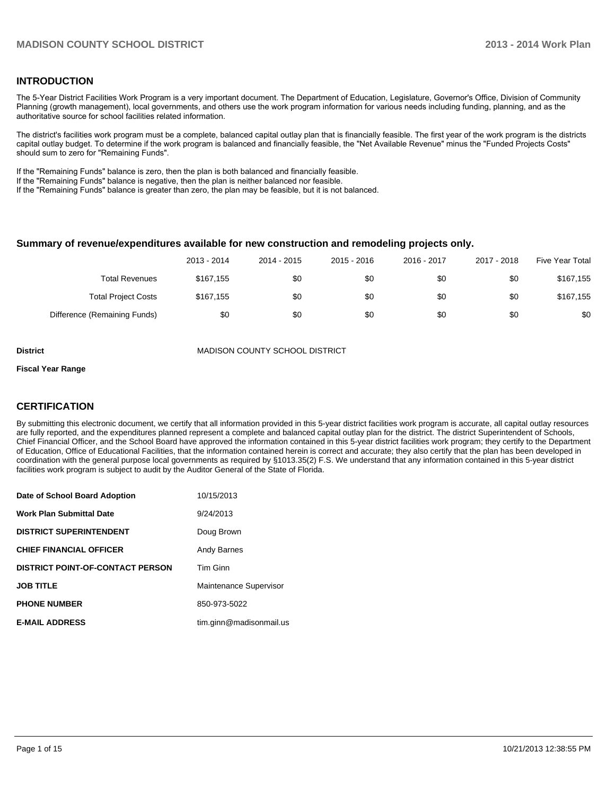#### **INTRODUCTION**

The 5-Year District Facilities Work Program is a very important document. The Department of Education, Legislature, Governor's Office, Division of Community Planning (growth management), local governments, and others use the work program information for various needs including funding, planning, and as the authoritative source for school facilities related information.

The district's facilities work program must be a complete, balanced capital outlay plan that is financially feasible. The first year of the work program is the districts capital outlay budget. To determine if the work program is balanced and financially feasible, the "Net Available Revenue" minus the "Funded Projects Costs" should sum to zero for "Remaining Funds".

If the "Remaining Funds" balance is zero, then the plan is both balanced and financially feasible.

If the "Remaining Funds" balance is negative, then the plan is neither balanced nor feasible.

If the "Remaining Funds" balance is greater than zero, the plan may be feasible, but it is not balanced.

#### **Summary of revenue/expenditures available for new construction and remodeling projects only.**

|                              | 2013 - 2014 | 2014 - 2015 | 2015 - 2016 | 2016 - 2017 | 2017 - 2018 | Five Year Total |
|------------------------------|-------------|-------------|-------------|-------------|-------------|-----------------|
| <b>Total Revenues</b>        | \$167.155   | \$0         | \$0         | \$0         | \$0         | \$167.155       |
| <b>Total Project Costs</b>   | \$167,155   | \$0         | \$0         | \$0         | \$0         | \$167.155       |
| Difference (Remaining Funds) | \$0         | \$0         | \$0         | \$0         | \$0         | \$0             |

**District** MADISON COUNTY SCHOOL DISTRICT

#### **Fiscal Year Range**

#### **CERTIFICATION**

By submitting this electronic document, we certify that all information provided in this 5-year district facilities work program is accurate, all capital outlay resources are fully reported, and the expenditures planned represent a complete and balanced capital outlay plan for the district. The district Superintendent of Schools, Chief Financial Officer, and the School Board have approved the information contained in this 5-year district facilities work program; they certify to the Department of Education, Office of Educational Facilities, that the information contained herein is correct and accurate; they also certify that the plan has been developed in coordination with the general purpose local governments as required by §1013.35(2) F.S. We understand that any information contained in this 5-year district facilities work program is subject to audit by the Auditor General of the State of Florida.

| Date of School Board Adoption           | 10/15/2013              |
|-----------------------------------------|-------------------------|
| <b>Work Plan Submittal Date</b>         | 9/24/2013               |
| <b>DISTRICT SUPERINTENDENT</b>          | Doug Brown              |
| <b>CHIEF FINANCIAL OFFICER</b>          | Andy Barnes             |
| <b>DISTRICT POINT-OF-CONTACT PERSON</b> | Tim Ginn                |
| <b>JOB TITLE</b>                        | Maintenance Supervisor  |
| <b>PHONE NUMBER</b>                     | 850-973-5022            |
| <b>E-MAIL ADDRESS</b>                   | tim.ginn@madisonmail.us |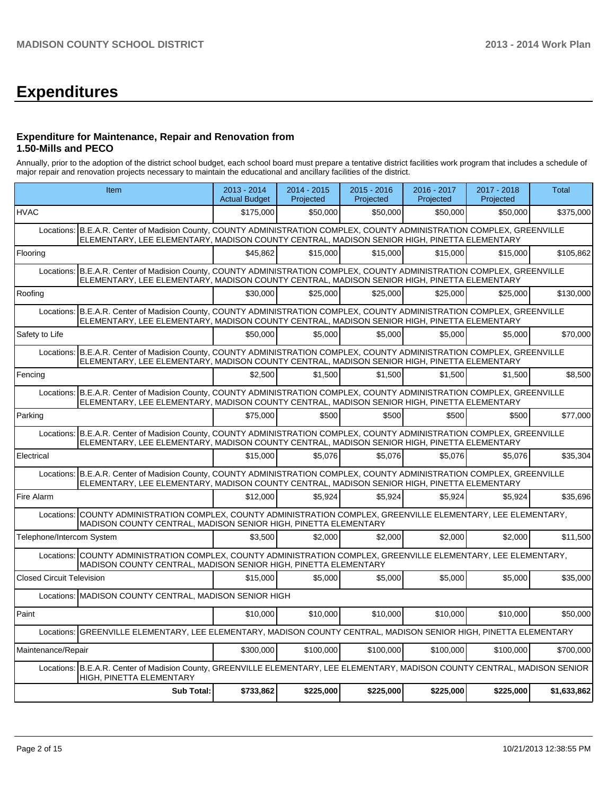## **Expenditures**

#### **Expenditure for Maintenance, Repair and Renovation from 1.50-Mills and PECO**

Annually, prior to the adoption of the district school budget, each school board must prepare a tentative district facilities work program that includes a schedule of major repair and renovation projects necessary to maintain the educational and ancillary facilities of the district.

|                                  | Item                                                                                                                                                                                                                   |           | 2014 - 2015<br>Projected | 2015 - 2016<br>Projected | 2016 - 2017<br>Projected | 2017 - 2018<br>Projected | <b>Total</b> |
|----------------------------------|------------------------------------------------------------------------------------------------------------------------------------------------------------------------------------------------------------------------|-----------|--------------------------|--------------------------|--------------------------|--------------------------|--------------|
| <b>HVAC</b>                      |                                                                                                                                                                                                                        | \$175,000 | \$50,000                 | \$50,000                 | \$50,000                 | \$50,000                 | \$375,000    |
| Locations:                       | B.E.A.R. Center of Madision County, COUNTY ADMINISTRATION COMPLEX, COUNTY ADMINISTRATION COMPLEX, GREENVILLE<br>ELEMENTARY, LEE ELEMENTARY, MADISON COUNTY CENTRAL, MADISON SENIOR HIGH, PINETTA ELEMENTARY            |           |                          |                          |                          |                          |              |
| Flooring                         |                                                                                                                                                                                                                        | \$45.862  | \$15,000                 | \$15,000                 | \$15,000                 | \$15,000                 | \$105,862    |
|                                  | Locations: B.E.A.R. Center of Madision County, COUNTY ADMINISTRATION COMPLEX, COUNTY ADMINISTRATION COMPLEX, GREENVILLE<br>ELEMENTARY, LEE ELEMENTARY, MADISON COUNTY CENTRAL, MADISON SENIOR HIGH, PINETTA ELEMENTARY |           |                          |                          |                          |                          |              |
| Roofing                          |                                                                                                                                                                                                                        | \$30,000  | \$25,000                 | \$25,000                 | \$25,000                 | \$25,000                 | \$130.000    |
|                                  | Locations: B.E.A.R. Center of Madision County, COUNTY ADMINISTRATION COMPLEX, COUNTY ADMINISTRATION COMPLEX, GREENVILLE<br>ELEMENTARY, LEE ELEMENTARY, MADISON COUNTY CENTRAL, MADISON SENIOR HIGH, PINETTA ELEMENTARY |           |                          |                          |                          |                          |              |
| Safety to Life                   |                                                                                                                                                                                                                        | \$50,000  | \$5,000                  | \$5.000                  | \$5.000                  | \$5.000                  | \$70.000     |
|                                  | Locations: B.E.A.R. Center of Madision County, COUNTY ADMINISTRATION COMPLEX, COUNTY ADMINISTRATION COMPLEX, GREENVILLE<br>ELEMENTARY, LEE ELEMENTARY, MADISON COUNTY CENTRAL, MADISON SENIOR HIGH, PINETTA ELEMENTARY |           |                          |                          |                          |                          |              |
| Fencing                          |                                                                                                                                                                                                                        | \$2,500   | \$1,500                  | \$1,500                  | \$1,500                  | \$1,500                  | \$8,500      |
|                                  | Locations: B.E.A.R. Center of Madision County, COUNTY ADMINISTRATION COMPLEX, COUNTY ADMINISTRATION COMPLEX, GREENVILLE<br>ELEMENTARY, LEE ELEMENTARY, MADISON COUNTY CENTRAL, MADISON SENIOR HIGH, PINETTA ELEMENTARY |           |                          |                          |                          |                          |              |
| Parking                          |                                                                                                                                                                                                                        | \$75,000  | \$500                    | \$500                    | \$500                    | \$500                    | \$77,000     |
|                                  | Locations: B.E.A.R. Center of Madision County. COUNTY ADMINISTRATION COMPLEX. COUNTY ADMINISTRATION COMPLEX. GREENVILLE<br>ELEMENTARY, LEE ELEMENTARY, MADISON COUNTY CENTRAL, MADISON SENIOR HIGH, PINETTA ELEMENTARY |           |                          |                          |                          |                          |              |
| Electrical                       |                                                                                                                                                                                                                        | \$15,000  | \$5.076                  | \$5,076                  | \$5,076                  | \$5,076                  | \$35,304     |
|                                  | Locations: B.E.A.R. Center of Madision County, COUNTY ADMINISTRATION COMPLEX, COUNTY ADMINISTRATION COMPLEX, GREENVILLE<br>ELEMENTARY, LEE ELEMENTARY, MADISON COUNTY CENTRAL, MADISON SENIOR HIGH, PINETTA ELEMENTARY |           |                          |                          |                          |                          |              |
| Fire Alarm                       |                                                                                                                                                                                                                        | \$12,000  | \$5,924                  | \$5,924                  | \$5,924                  | \$5,924                  | \$35,696     |
| Locations:                       | COUNTY ADMINISTRATION COMPLEX, COUNTY ADMINISTRATION COMPLEX, GREENVILLE ELEMENTARY, LEE ELEMENTARY,<br>MADISON COUNTY CENTRAL, MADISON SENIOR HIGH, PINETTA ELEMENTARY                                                |           |                          |                          |                          |                          |              |
| Telephone/Intercom System        |                                                                                                                                                                                                                        | \$3.500   | \$2,000                  | \$2.000                  | \$2.000                  | \$2.000                  | \$11,500     |
|                                  | Locations: COUNTY ADMINISTRATION COMPLEX, COUNTY ADMINISTRATION COMPLEX, GREENVILLE ELEMENTARY, LEE ELEMENTARY,<br>MADISON COUNTY CENTRAL, MADISON SENIOR HIGH, PINETTA ELEMENTARY                                     |           |                          |                          |                          |                          |              |
| <b>Closed Circuit Television</b> |                                                                                                                                                                                                                        | \$15,000  | \$5,000                  | \$5,000                  | \$5,000                  | \$5,000                  | \$35,000     |
|                                  | Locations: MADISON COUNTY CENTRAL, MADISON SENIOR HIGH                                                                                                                                                                 |           |                          |                          |                          |                          |              |
| Paint                            |                                                                                                                                                                                                                        | \$10,000  | \$10,000                 | \$10,000                 | \$10,000                 | \$10,000                 | \$50,000     |
| Locations:                       | GREENVILLE ELEMENTARY, LEE ELEMENTARY, MADISON COUNTY CENTRAL, MADISON SENIOR HIGH, PINETTA ELEMENTARY                                                                                                                 |           |                          |                          |                          |                          |              |
| Maintenance/Repair               |                                                                                                                                                                                                                        | \$300,000 | \$100.000                | \$100,000                | \$100,000                | \$100,000                | \$700,000    |
|                                  | Locations: B.E.A.R. Center of Madision County, GREENVILLE ELEMENTARY, LEE ELEMENTARY, MADISON COUNTY CENTRAL, MADISON SENIOR<br>HIGH, PINETTA ELEMENTARY                                                               |           |                          |                          |                          |                          |              |
|                                  | <b>Sub Total:</b>                                                                                                                                                                                                      | \$733,862 | \$225,000                | \$225,000                | \$225,000                | \$225,000                | \$1,633,862  |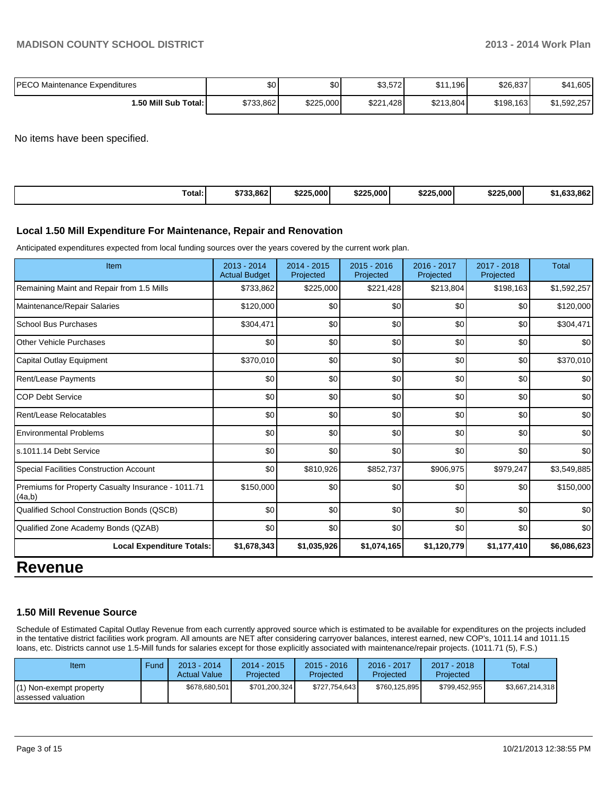| IPECO Maintenance Expenditures | ሶሳ<br>ΦU  | ሖ<br>JU.  | $000 - 00$<br>\$3.57ZI | 0.44<br>1.196<br>ι ש | \$26,837  | 1,605<br>\$41 |
|--------------------------------|-----------|-----------|------------------------|----------------------|-----------|---------------|
| <b>1.50 Mill Sub Total:</b>    | \$733,862 | \$225,000 | \$221<br>.428          | \$213,804            | \$198,163 | 1,592,257     |

No items have been specified.

| Total: | \$733,862 | \$225,000 | \$225,000 | \$225.000<br>DZ. | \$225,000 | oco I<br>$\sim$<br>. . |
|--------|-----------|-----------|-----------|------------------|-----------|------------------------|
|--------|-----------|-----------|-----------|------------------|-----------|------------------------|

#### **Local 1.50 Mill Expenditure For Maintenance, Repair and Renovation**

Anticipated expenditures expected from local funding sources over the years covered by the current work plan.

| Item                                                         | 2013 - 2014<br><b>Actual Budget</b> | 2014 - 2015<br>Projected | 2015 - 2016<br>Projected | 2016 - 2017<br>Projected | 2017 - 2018<br>Projected | <b>Total</b> |
|--------------------------------------------------------------|-------------------------------------|--------------------------|--------------------------|--------------------------|--------------------------|--------------|
| Remaining Maint and Repair from 1.5 Mills                    | \$733,862                           | \$225,000                | \$221,428                | \$213,804                | \$198,163                | \$1,592,257  |
| Maintenance/Repair Salaries                                  | \$120,000                           | \$0                      | \$0                      | \$0                      | \$0                      | \$120,000    |
| <b>School Bus Purchases</b>                                  | \$304,471                           | \$0                      | \$0                      | \$0                      | \$0                      | \$304,471    |
| <b>Other Vehicle Purchases</b>                               | \$0                                 | \$0                      | \$0                      | \$0                      | \$0                      | \$0          |
| Capital Outlay Equipment                                     | \$370,010                           | \$0                      | \$0                      | \$0                      | \$0                      | \$370,010    |
| Rent/Lease Payments                                          | \$0                                 | \$0                      | \$0                      | \$0                      | \$0                      | \$0          |
| <b>COP Debt Service</b>                                      | \$0                                 | \$0                      | \$0                      | \$0                      | \$0                      | \$0          |
| Rent/Lease Relocatables                                      | \$0                                 | \$0                      | \$0                      | \$0                      | \$0                      | \$0          |
| <b>Environmental Problems</b>                                | \$0                                 | \$0                      | \$0                      | \$0                      | \$0                      | \$0          |
| s.1011.14 Debt Service                                       | \$0                                 | \$0                      | \$0                      | \$0                      | \$0                      | \$0          |
| Special Facilities Construction Account                      | \$0                                 | \$810,926                | \$852,737                | \$906,975                | \$979,247                | \$3,549,885  |
| Premiums for Property Casualty Insurance - 1011.71<br>(4a,b) | \$150,000                           | \$0                      | \$0                      | \$0                      | \$0                      | \$150,000    |
| Qualified School Construction Bonds (QSCB)                   | \$0                                 | \$0                      | \$0                      | \$0                      | \$0                      | \$0          |
| Qualified Zone Academy Bonds (QZAB)                          | \$0                                 | \$0                      | \$0                      | \$0                      | \$0                      | \$0          |
| <b>Local Expenditure Totals:</b>                             | \$1,678,343                         | \$1,035,926              | \$1,074,165              | \$1,120,779              | \$1,177,410              | \$6,086,623  |

### **Revenue**

#### **1.50 Mill Revenue Source**

Schedule of Estimated Capital Outlay Revenue from each currently approved source which is estimated to be available for expenditures on the projects included in the tentative district facilities work program. All amounts are NET after considering carryover balances, interest earned, new COP's, 1011.14 and 1011.15 loans, etc. Districts cannot use 1.5-Mill funds for salaries except for those explicitly associated with maintenance/repair projects. (1011.71 (5), F.S.)

| Item                                           | Fund | $2013 - 2014$<br><b>Actual Value</b> | $2014 - 2015$<br>Projected | $2015 - 2016$<br>Projected | 2016 - 2017<br>Projected | $2017 - 2018$<br>Projected | <b>Total</b>    |
|------------------------------------------------|------|--------------------------------------|----------------------------|----------------------------|--------------------------|----------------------------|-----------------|
| (1) Non-exempt property<br>lassessed valuation |      | \$678,680,501                        | \$701.200.324              | \$727,754,643              | \$760.125.895            | \$799.452.955              | \$3,667,214,318 |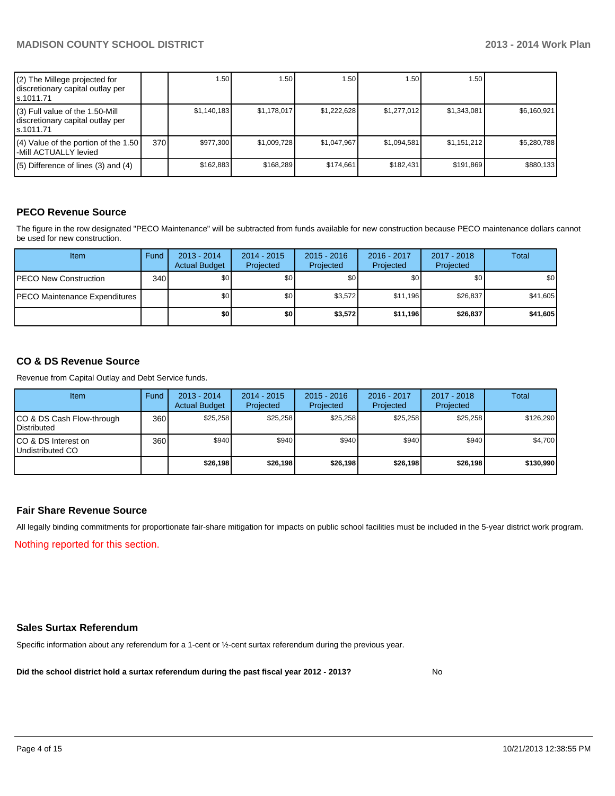| (2) The Millege projected for<br>discretionary capital outlay per<br>s.1011.71    |     | 1.50        | .50         | 1.501       | 1.50        | 1.50 l      |             |
|-----------------------------------------------------------------------------------|-----|-------------|-------------|-------------|-------------|-------------|-------------|
| (3) Full value of the 1.50-Mill<br>discretionary capital outlay per<br>ls.1011.71 |     | \$1,140,183 | \$1.178.017 | \$1,222,628 | \$1.277.012 | \$1,343,081 | \$6,160,921 |
| (4) Value of the portion of the 1.50<br>-Mill ACTUALLY levied                     | 370 | \$977,300   | \$1,009,728 | \$1,047,967 | \$1,094,581 | \$1,151,212 | \$5,280,788 |
| $(5)$ Difference of lines (3) and (4)                                             |     | \$162,883   | \$168,289   | \$174.661   | \$182,431   | \$191,869   | \$880,133   |

#### **PECO Revenue Source**

The figure in the row designated "PECO Maintenance" will be subtracted from funds available for new construction because PECO maintenance dollars cannot be used for new construction.

| <b>Item</b>                   | Fund | $2013 - 2014$<br><b>Actual Budget</b> | $2014 - 2015$<br>Projected | $2015 - 2016$<br>Projected | 2016 - 2017<br>Projected | 2017 - 2018<br>Projected | Total            |
|-------------------------------|------|---------------------------------------|----------------------------|----------------------------|--------------------------|--------------------------|------------------|
| <b>PECO New Construction</b>  | 340  | \$0 <sub>l</sub>                      | \$0                        | \$0                        | \$0                      | \$0                      | \$0 <sub>1</sub> |
| PECO Maintenance Expenditures |      | \$0                                   | \$0                        | \$3.572                    | \$11.196                 | \$26,837                 | \$41,605         |
|                               |      | \$0 I                                 | \$0                        | \$3.572                    | \$11,196                 | \$26,837                 | \$41,605         |

#### **CO & DS Revenue Source**

Revenue from Capital Outlay and Debt Service funds.

| Item                                               | Fund | 2013 - 2014<br><b>Actual Budget</b> | $2014 - 2015$<br>Projected | $2015 - 2016$<br>Projected | 2016 - 2017<br>Projected | $2017 - 2018$<br>Projected | Total     |
|----------------------------------------------------|------|-------------------------------------|----------------------------|----------------------------|--------------------------|----------------------------|-----------|
| ICO & DS Cash Flow-through<br><b>I</b> Distributed | 360  | \$25.258                            | \$25.258                   | \$25.258                   | \$25.258                 | \$25.258                   | \$126,290 |
| ICO & DS Interest on<br>Undistributed CO           | 360  | \$940                               | \$940                      | \$940                      | \$940                    | \$940                      | \$4,700   |
|                                                    |      | \$26,198                            | \$26,198                   | \$26,198                   | \$26,198                 | \$26,198                   | \$130,990 |

#### **Fair Share Revenue Source**

Nothing reported for this section. All legally binding commitments for proportionate fair-share mitigation for impacts on public school facilities must be included in the 5-year district work program.

#### **Sales Surtax Referendum**

Specific information about any referendum for a 1-cent or ½-cent surtax referendum during the previous year.

**Did the school district hold a surtax referendum during the past fiscal year 2012 - 2013?**

No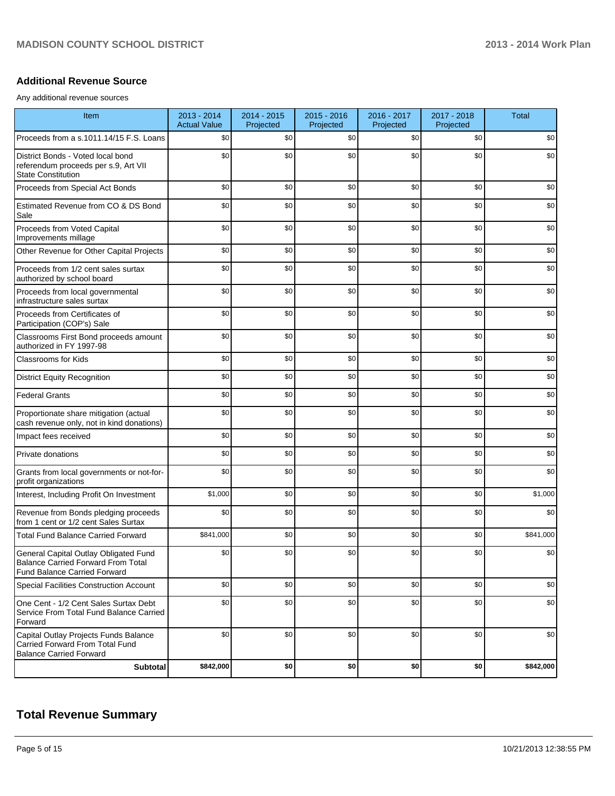#### **Additional Revenue Source**

Any additional revenue sources

| Item                                                                                                               | 2013 - 2014<br><b>Actual Value</b> | 2014 - 2015<br>Projected | $2015 - 2016$<br>Projected | 2016 - 2017<br>Projected | 2017 - 2018<br>Projected | <b>Total</b> |
|--------------------------------------------------------------------------------------------------------------------|------------------------------------|--------------------------|----------------------------|--------------------------|--------------------------|--------------|
| Proceeds from a s.1011.14/15 F.S. Loans                                                                            | \$0                                | \$0                      | \$0                        | \$0                      | \$0                      | \$0          |
| District Bonds - Voted local bond<br>referendum proceeds per s.9, Art VII<br><b>State Constitution</b>             | \$0                                | \$0                      | \$0                        | \$0                      | \$0                      | \$0          |
| Proceeds from Special Act Bonds                                                                                    | \$0                                | \$0                      | \$0                        | \$0                      | \$0                      | \$0          |
| Estimated Revenue from CO & DS Bond<br>Sale                                                                        | \$0                                | \$0                      | \$0                        | \$0                      | \$0                      | \$0          |
| Proceeds from Voted Capital<br>Improvements millage                                                                | \$0                                | \$0                      | \$0                        | \$0                      | \$0                      | \$0          |
| Other Revenue for Other Capital Projects                                                                           | \$0                                | \$0                      | \$0                        | \$0                      | \$0                      | \$0          |
| Proceeds from 1/2 cent sales surtax<br>authorized by school board                                                  | \$0                                | \$0                      | \$0                        | \$0                      | \$0                      | \$0          |
| Proceeds from local governmental<br>infrastructure sales surtax                                                    | \$0                                | \$0                      | \$0                        | \$0                      | \$0                      | \$0          |
| Proceeds from Certificates of<br>Participation (COP's) Sale                                                        | \$0                                | \$0                      | \$0                        | \$0                      | \$0                      | \$0          |
| Classrooms First Bond proceeds amount<br>authorized in FY 1997-98                                                  | \$0                                | \$0                      | \$0                        | \$0                      | \$0                      | \$0          |
| <b>Classrooms for Kids</b>                                                                                         | \$0                                | \$0                      | \$0                        | \$0                      | \$0                      | \$0          |
| <b>District Equity Recognition</b>                                                                                 | \$0                                | \$0                      | \$0                        | \$0                      | \$0                      | \$0          |
| <b>Federal Grants</b>                                                                                              | \$0                                | \$0                      | \$0                        | \$0                      | \$0                      | \$0          |
| Proportionate share mitigation (actual<br>cash revenue only, not in kind donations)                                | \$0                                | \$0                      | \$0                        | \$0                      | \$0                      | \$0          |
| Impact fees received                                                                                               | \$0                                | \$0                      | \$0                        | \$0                      | \$0                      | \$0          |
| Private donations                                                                                                  | \$0                                | \$0                      | \$0                        | \$0                      | \$0                      | \$0          |
| Grants from local governments or not-for-<br>profit organizations                                                  | \$0                                | \$0                      | \$0                        | \$0                      | \$0                      | \$0          |
| Interest, Including Profit On Investment                                                                           | \$1,000                            | \$0                      | \$0                        | \$0                      | \$0                      | \$1,000      |
| Revenue from Bonds pledging proceeds<br>from 1 cent or 1/2 cent Sales Surtax                                       | \$0                                | \$0                      | \$0                        | \$0                      | \$0                      | \$0          |
| <b>Total Fund Balance Carried Forward</b>                                                                          | \$841,000                          | \$0                      | \$0                        | \$0                      | \$0                      | \$841,000    |
| General Capital Outlay Obligated Fund<br>Balance Carried Forward From Total<br><b>Fund Balance Carried Forward</b> | \$0                                | \$0                      | \$0                        | \$0                      | \$0                      | \$0          |
| Special Facilities Construction Account                                                                            | \$0                                | \$0                      | \$0                        | \$0                      | \$0                      | \$0          |
| One Cent - 1/2 Cent Sales Surtax Debt<br>Service From Total Fund Balance Carried<br>Forward                        | \$0                                | \$0                      | \$0                        | \$0                      | \$0                      | \$0          |
| Capital Outlay Projects Funds Balance<br>Carried Forward From Total Fund<br><b>Balance Carried Forward</b>         | \$0                                | \$0                      | \$0                        | \$0                      | \$0                      | \$0          |
| <b>Subtotal</b>                                                                                                    | \$842,000                          | \$0                      | \$0                        | \$0                      | \$0                      | \$842,000    |

## **Total Revenue Summary**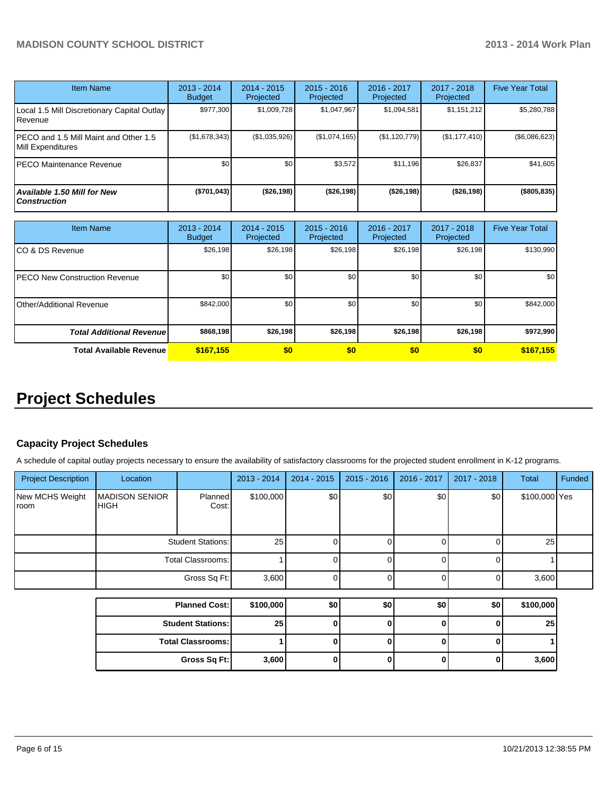| <b>Item Name</b>                                           | $2013 - 2014$<br><b>Budget</b> | 2014 - 2015<br>Projected | $2015 - 2016$<br><b>Projected</b> | 2016 - 2017<br>Projected | 2017 - 2018<br>Projected | <b>Five Year Total</b> |
|------------------------------------------------------------|--------------------------------|--------------------------|-----------------------------------|--------------------------|--------------------------|------------------------|
| Local 1.5 Mill Discretionary Capital Outlay<br>Revenue     | \$977.300                      | \$1,009,728              | \$1,047,967                       | \$1,094,581              | \$1,151,212              | \$5,280,788            |
| PECO and 1.5 Mill Maint and Other 1.5<br>Mill Expenditures | (\$1,678,343)                  | (\$1,035,926)            | (\$1,074,165)                     | (\$1,120,779)            | (\$1,177,410)            | (\$6,086,623)          |
| PECO Maintenance Revenue                                   | \$0                            | \$0                      | \$3,572                           | \$11.196                 | \$26,837                 | \$41,605               |
| Available 1.50 Mill for New<br><b>Construction</b>         | (\$701,043)                    | ( \$26, 198)             | ( \$26, 198)                      | ( \$26, 198]             | ( \$26, 198]             | (\$805, 835)           |

| Item Name                             | 2013 - 2014<br><b>Budget</b> | $2014 - 2015$<br>Projected | $2015 - 2016$<br>Projected | $2016 - 2017$<br>Projected | 2017 - 2018<br>Projected | <b>Five Year Total</b> |
|---------------------------------------|------------------------------|----------------------------|----------------------------|----------------------------|--------------------------|------------------------|
| ICO & DS Revenue                      | \$26,198                     | \$26,198                   | \$26,198                   | \$26,198                   | \$26,198                 | \$130,990              |
| <b>IPECO New Construction Revenue</b> | \$0                          | \$0                        | \$0                        | \$0                        | \$0                      | \$0                    |
| <b>IOther/Additional Revenue</b>      | \$842,000                    | \$0                        | \$0                        | \$0 <sub>1</sub>           | \$0 <sub>1</sub>         | \$842,000              |
| <b>Total Additional Revenuel</b>      | \$868,198                    | \$26,198                   | \$26,198                   | \$26,198                   | \$26,198                 | \$972,990              |
| <b>Total Available Revenue</b>        | \$167,155                    | \$0                        | \$0                        | \$0                        | \$0                      | \$167,155              |

## **Project Schedules**

#### **Capacity Project Schedules**

A schedule of capital outlay projects necessary to ensure the availability of satisfactory classrooms for the projected student enrollment in K-12 programs.

| <b>Project Description</b> | Location                             |                          | 2013 - 2014 | 2014 - 2015 | $2015 - 2016$ | 2016 - 2017 | 2017 - 2018  | Total         | Funded |
|----------------------------|--------------------------------------|--------------------------|-------------|-------------|---------------|-------------|--------------|---------------|--------|
| New MCHS Weight<br>room    | <b>MADISON SENIOR</b><br><b>HIGH</b> | <b>Planned</b><br>Cost:  | \$100,000   | \$0]        | \$0           | \$0         | \$0          | \$100,000 Yes |        |
|                            | <b>Student Stations:</b>             |                          | 25          |             |               |             |              | 25            |        |
|                            | <b>Total Classrooms:</b>             |                          |             |             |               |             |              |               |        |
|                            |                                      | Gross Sq Ft:             | 3,600       |             |               |             | U            | 3,600         |        |
|                            |                                      |                          |             |             |               |             |              |               |        |
|                            |                                      | <b>Planned Cost:</b>     | \$100,000   | \$0         | \$0           | \$0         | \$0          | \$100,000     |        |
|                            |                                      | <b>Student Stations:</b> | 25          | ΩI          | n             | n           | O            | 25            |        |
|                            |                                      | <b>Total Classrooms:</b> |             |             |               | n           | $\mathbf{0}$ |               |        |
|                            |                                      | Gross Sq Ft:             | 3,600       |             |               | U           | 0            | 3,600         |        |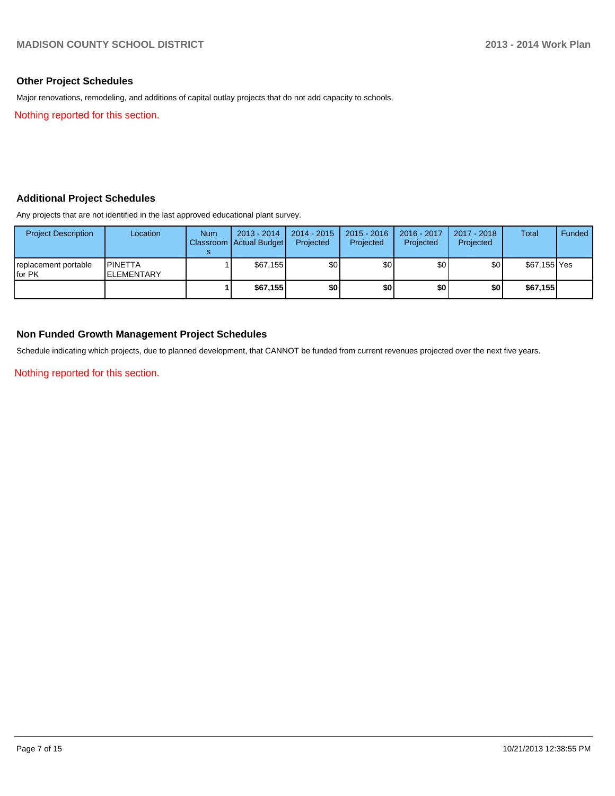#### **Other Project Schedules**

Major renovations, remodeling, and additions of capital outlay projects that do not add capacity to schools.

Nothing reported for this section.

#### **Additional Project Schedules**

Any projects that are not identified in the last approved educational plant survey.

| <b>Project Description</b>      | Location                            | <b>Num</b> | $2013 - 2014$<br>Classroom   Actual Budget | 2014 - 2015<br>Projected | $2015 - 2016$<br>Projected | 2016 - 2017<br>Projected | 2017 - 2018<br>Projected | Total        | Funded |
|---------------------------------|-------------------------------------|------------|--------------------------------------------|--------------------------|----------------------------|--------------------------|--------------------------|--------------|--------|
| replacement portable<br>lfor PK | <b>PINETTA</b><br><b>ELEMENTARY</b> |            | \$67.155                                   | \$0                      | \$0                        | \$0 I                    | \$0                      | \$67,155 Yes |        |
|                                 |                                     |            | \$67,155                                   | \$0                      | \$0                        | \$0                      | \$0                      | \$67,155     |        |

#### **Non Funded Growth Management Project Schedules**

Schedule indicating which projects, due to planned development, that CANNOT be funded from current revenues projected over the next five years.

Nothing reported for this section.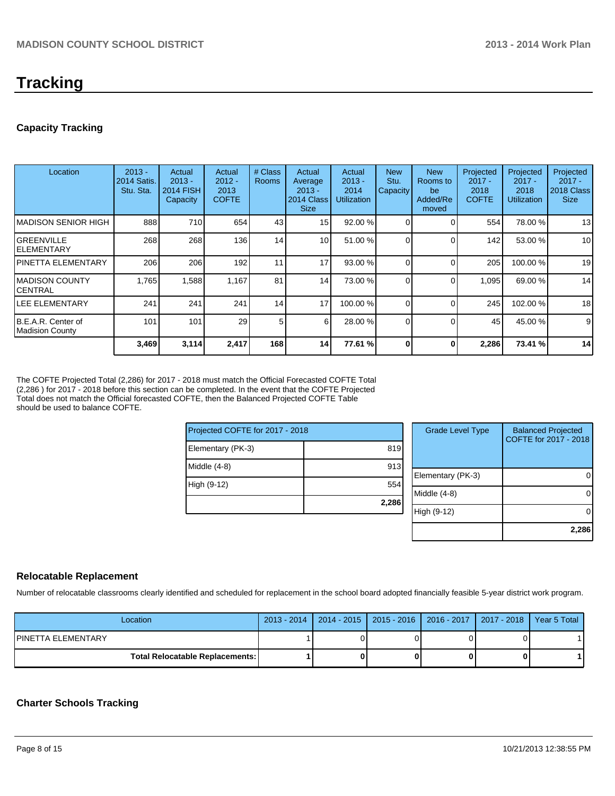## **Tracking**

#### **Capacity Tracking**

| Location                                     | $2013 -$<br>2014 Satis.<br>Stu. Sta. | Actual<br>$2013 -$<br><b>2014 FISH</b><br>Capacity | Actual<br>$2012 -$<br>2013<br><b>COFTE</b> | # Class<br><b>Rooms</b> | Actual<br>Average<br>$2013 -$<br>2014 Class<br><b>Size</b> | Actual<br>$2013 -$<br>2014<br><b>Utilization</b> | <b>New</b><br>Stu.<br>Capacity | <b>New</b><br>Rooms to<br>be<br>Added/Re<br>moved | Projected<br>$2017 -$<br>2018<br><b>COFTE</b> | Projected<br>$2017 -$<br>2018<br><b>Utilization</b> | Projected<br>$2017 -$<br>2018 Class<br><b>Size</b> |
|----------------------------------------------|--------------------------------------|----------------------------------------------------|--------------------------------------------|-------------------------|------------------------------------------------------------|--------------------------------------------------|--------------------------------|---------------------------------------------------|-----------------------------------------------|-----------------------------------------------------|----------------------------------------------------|
| <b>MADISON SENIOR HIGH</b>                   | 888                                  | 710                                                | 654                                        | 43                      | 15 <sup>1</sup>                                            | 92.00 %                                          |                                |                                                   | 554                                           | 78.00 %                                             | 13                                                 |
| IGREENVILLE<br><b>ELEMENTARY</b>             | 268                                  | 268                                                | 136                                        | 14                      | 10 <sup>1</sup>                                            | 51.00 %                                          |                                |                                                   | 142                                           | 53.00 %                                             | 10 <sup>1</sup>                                    |
| <b>PINETTA ELEMENTARY</b>                    | 206                                  | 206                                                | 192                                        | 11                      | 17                                                         | 93.00 %                                          |                                |                                                   | 205                                           | 100.00%                                             | 19                                                 |
| IMADISON COUNTY<br><b>CENTRAL</b>            | 1,765                                | 1,588                                              | 1,167                                      | 81                      | 14 <sub>l</sub>                                            | 73.00 %                                          | $\Omega$                       |                                                   | 1,095                                         | 69.00 %                                             | 14                                                 |
| LEE ELEMENTARY                               | 241                                  | 241                                                | 241                                        | 14 <sub>1</sub>         | 17                                                         | 100.00 %                                         |                                |                                                   | 245                                           | 102.00%                                             | 18                                                 |
| B.E.A.R. Center of<br><b>Madision County</b> | 101                                  | 101                                                | 29                                         | 5                       | 6I                                                         | 28.00 %                                          | $\Omega$                       | 0                                                 | 45                                            | 45.00 %                                             | 9                                                  |
|                                              | 3,469                                | 3,114                                              | 2,417                                      | 168                     | 14                                                         | 77.61 %                                          | $\Omega$                       | 0                                                 | 2,286                                         | 73.41 %                                             | 14                                                 |

The COFTE Projected Total (2,286) for 2017 - 2018 must match the Official Forecasted COFTE Total (2,286 ) for 2017 - 2018 before this section can be completed. In the event that the COFTE Projected Total does not match the Official forecasted COFTE, then the Balanced Projected COFTE Table should be used to balance COFTE.

| Projected COFTE for 2017 - 2018 |       |  |  |  |  |  |
|---------------------------------|-------|--|--|--|--|--|
| Elementary (PK-3)               | 819   |  |  |  |  |  |
| Middle (4-8)                    | 913   |  |  |  |  |  |
| High (9-12)                     | 554   |  |  |  |  |  |
|                                 | 2,286 |  |  |  |  |  |

| <b>Grade Level Type</b> | <b>Balanced Projected</b><br>COFTE for 2017 - 2018 |
|-------------------------|----------------------------------------------------|
| Elementary (PK-3)       |                                                    |
| Middle (4-8)            |                                                    |
| High (9-12)             |                                                    |
|                         | 2,286                                              |

#### **Relocatable Replacement**

Number of relocatable classrooms clearly identified and scheduled for replacement in the school board adopted financially feasible 5-year district work program.

| Location                                 | 2013 - 2014   2014 - 2015   2015 - 2016   2016 - 2017   2017 - 2018   Year 5 Total |  |  |
|------------------------------------------|------------------------------------------------------------------------------------|--|--|
| IPINETTA ELEMENTARY                      |                                                                                    |  |  |
| <b>Total Relocatable Replacements: I</b> |                                                                                    |  |  |

#### **Charter Schools Tracking**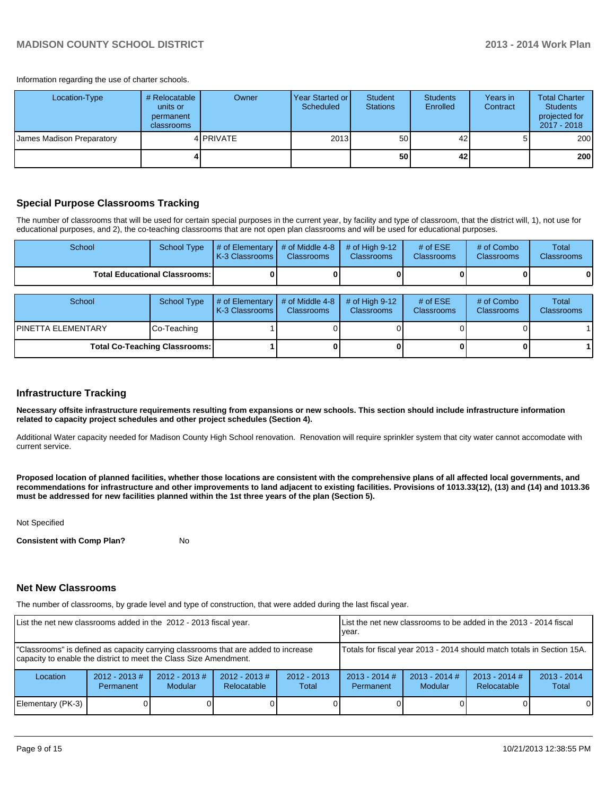#### **MADISON COUNTY SCHOOL DISTRICT 2013 - 2014 Work Plan**

Information regarding the use of charter schools.

| Location-Type             | # Relocatable<br>units or<br>permanent<br>classrooms | Owner              | Year Started or I<br>Scheduled | Student<br><b>Stations</b> | <b>Students</b><br>Enrolled | Years in<br>Contract | <b>Total Charter</b><br><b>Students</b><br>projected for<br>2017 - 2018 |
|---------------------------|------------------------------------------------------|--------------------|--------------------------------|----------------------------|-----------------------------|----------------------|-------------------------------------------------------------------------|
| James Madison Preparatory |                                                      | 4 <b>I</b> PRIVATE | 2013                           | 50                         | 42                          | 5                    | 200                                                                     |
|                           |                                                      |                    |                                | 50                         | 42                          |                      | 200                                                                     |

#### **Special Purpose Classrooms Tracking**

The number of classrooms that will be used for certain special purposes in the current year, by facility and type of classroom, that the district will, 1), not use for educational purposes, and 2), the co-teaching classrooms that are not open plan classrooms and will be used for educational purposes.

| School                                 | <b>School Type</b> | $\parallel$ # of Elementary $\parallel$ # of Middle 4-8 $\parallel$<br><b>K-3 Classrooms L</b> | <b>Classrooms</b> | $\#$ of High 9-12<br><b>Classrooms</b> | # of $ESE$<br>Classrooms | # of Combo<br><b>Classrooms</b> | Total<br><b>Classrooms</b> |
|----------------------------------------|--------------------|------------------------------------------------------------------------------------------------|-------------------|----------------------------------------|--------------------------|---------------------------------|----------------------------|
| <b>Total Educational Classrooms: I</b> |                    |                                                                                                |                   |                                        |                          |                                 | 01                         |
|                                        |                    |                                                                                                |                   |                                        |                          |                                 |                            |
| School                                 | School Type        | $\parallel$ # of Elementary $\parallel$ # of Middle 4-8 $\parallel$ # of High 9-12             |                   |                                        | # of $ESE$               | # of Combo                      | <b>Total</b>               |

| School                               | School Type | # of Elementary  # of Middle 4-8  # of High 9-12<br><b>K-3 Classrooms</b> | <b>Classrooms</b> | <b>Classrooms</b> | # of $ESE$<br>Classrooms | # of Combo<br><b>Classrooms</b> | Total<br><b>Classrooms</b> |
|--------------------------------------|-------------|---------------------------------------------------------------------------|-------------------|-------------------|--------------------------|---------------------------------|----------------------------|
| IPINETTA ELEMENTARY                  | Co-Teaching |                                                                           |                   |                   |                          |                                 |                            |
| <b>Total Co-Teaching Classrooms:</b> |             |                                                                           |                   |                   |                          |                                 |                            |

#### **Infrastructure Tracking**

**Necessary offsite infrastructure requirements resulting from expansions or new schools. This section should include infrastructure information related to capacity project schedules and other project schedules (Section 4).**

Additional Water capacity needed for Madison County High School renovation. Renovation will require sprinkler system that city water cannot accomodate with current service.

**Proposed location of planned facilities, whether those locations are consistent with the comprehensive plans of all affected local governments, and recommendations for infrastructure and other improvements to land adjacent to existing facilities. Provisions of 1013.33(12), (13) and (14) and 1013.36 must be addressed for new facilities planned within the 1st three years of the plan (Section 5).**

Not Specified

**Consistent with Comp Plan?** No

#### **Net New Classrooms**

The number of classrooms, by grade level and type of construction, that were added during the last fiscal year.

| List the net new classrooms added in the 2012 - 2013 fiscal year.                                                                                       |                               |                                   | Llist the net new classrooms to be added in the 2013 - 2014 fiscal<br>Ivear. |                        |                              |                        |  |          |
|---------------------------------------------------------------------------------------------------------------------------------------------------------|-------------------------------|-----------------------------------|------------------------------------------------------------------------------|------------------------|------------------------------|------------------------|--|----------|
| "Classrooms" is defined as capacity carrying classrooms that are added to increase<br>capacity to enable the district to meet the Class Size Amendment. |                               |                                   | Totals for fiscal year 2013 - 2014 should match totals in Section 15A.       |                        |                              |                        |  |          |
| Location                                                                                                                                                | $2012 - 2013 \#$<br>Permanent | $2012 - 2013$ #<br><b>Modular</b> | $2012 - 2013$ #<br>Relocatable                                               | $2012 - 2013$<br>Total | $2013 - 2014$ #<br>Permanent | $2013 - 2014$<br>Total |  |          |
| Elementary (PK-3)                                                                                                                                       |                               |                                   |                                                                              |                        |                              |                        |  | $\Omega$ |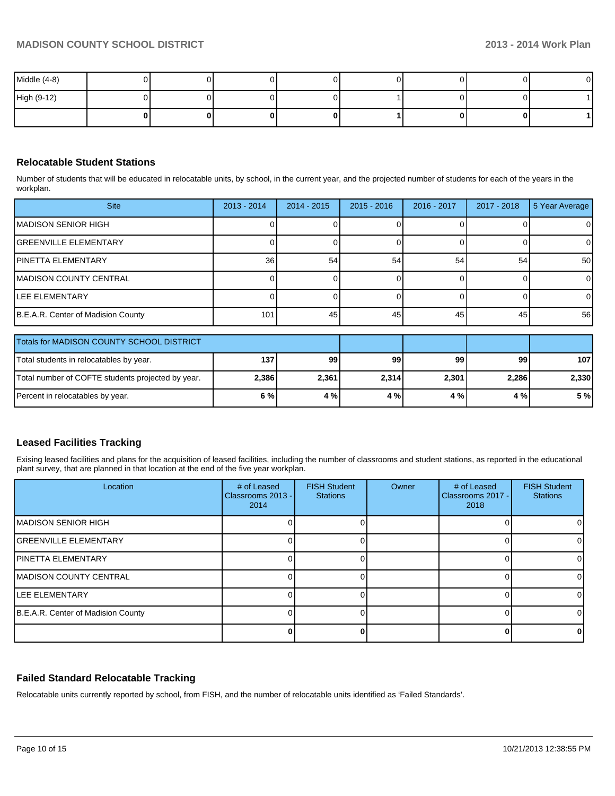| Middle (4-8) |  |  |  |  |
|--------------|--|--|--|--|
| High (9-12)  |  |  |  |  |
|              |  |  |  |  |

#### **Relocatable Student Stations**

Number of students that will be educated in relocatable units, by school, in the current year, and the projected number of students for each of the years in the workplan.

| <b>Site</b>                                       | $2013 - 2014$ | $2014 - 2015$ | $2015 - 2016$ | 2016 - 2017 | $2017 - 2018$ | 5 Year Average |
|---------------------------------------------------|---------------|---------------|---------------|-------------|---------------|----------------|
| MADISON SENIOR HIGH                               |               |               |               |             |               | $\overline{0}$ |
| IGREENVILLE ELEMENTARY                            |               |               |               |             |               | 0              |
| IPINETTA ELEMENTARY                               | 36            | 54            | 54            | 54          | 54            | 50             |
| IMADISON COUNTY CENTRAL                           |               |               |               |             |               | $\overline{0}$ |
| ILEE ELEMENTARY                                   |               |               |               |             |               | $\overline{0}$ |
| B.E.A.R. Center of Madision County                | 101           | 45            | 45            | 45          | 45            | 56             |
| Totals for MADISON COUNTY SCHOOL DISTRICT         |               |               |               |             |               |                |
| Total students in relocatables by year.           | 137           | 99            | 99            | 99          | 99            | 107            |
| Total number of COFTE students projected by year. | 2,386         | 2,361         | 2,314         | 2,301       | 2,286         | 2,330          |
| Percent in relocatables by year.                  | 6%            | 4 %           | 4 %           | 4 %         | 4 %           | 5 %            |

#### **Leased Facilities Tracking**

Exising leased facilities and plans for the acquisition of leased facilities, including the number of classrooms and student stations, as reported in the educational plant survey, that are planned in that location at the end of the five year workplan.

| Location                           | # of Leased<br>Classrooms 2013 -<br>2014 | <b>FISH Student</b><br><b>Stations</b> | Owner | # of Leased<br>Classrooms 2017 - I<br>2018 | <b>FISH Student</b><br><b>Stations</b> |
|------------------------------------|------------------------------------------|----------------------------------------|-------|--------------------------------------------|----------------------------------------|
| <b>MADISON SENIOR HIGH</b>         |                                          |                                        |       |                                            |                                        |
| <b>IGREENVILLE ELEMENTARY</b>      |                                          |                                        |       |                                            |                                        |
| <b>IPINETTA ELEMENTARY</b>         |                                          |                                        |       |                                            |                                        |
| <b>MADISON COUNTY CENTRAL</b>      |                                          |                                        |       |                                            |                                        |
| <b>ILEE ELEMENTARY</b>             |                                          |                                        |       |                                            |                                        |
| B.E.A.R. Center of Madision County |                                          |                                        |       |                                            |                                        |
|                                    |                                          |                                        |       |                                            |                                        |

#### **Failed Standard Relocatable Tracking**

Relocatable units currently reported by school, from FISH, and the number of relocatable units identified as 'Failed Standards'.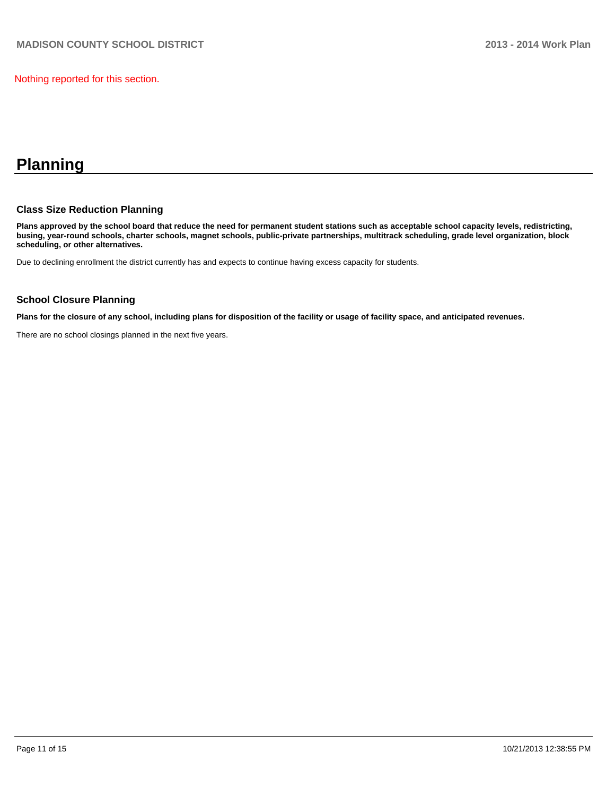Nothing reported for this section.

## **Planning**

#### **Class Size Reduction Planning**

**Plans approved by the school board that reduce the need for permanent student stations such as acceptable school capacity levels, redistricting, busing, year-round schools, charter schools, magnet schools, public-private partnerships, multitrack scheduling, grade level organization, block scheduling, or other alternatives.**

Due to declining enrollment the district currently has and expects to continue having excess capacity for students.

#### **School Closure Planning**

**Plans for the closure of any school, including plans for disposition of the facility or usage of facility space, and anticipated revenues.**

There are no school closings planned in the next five years.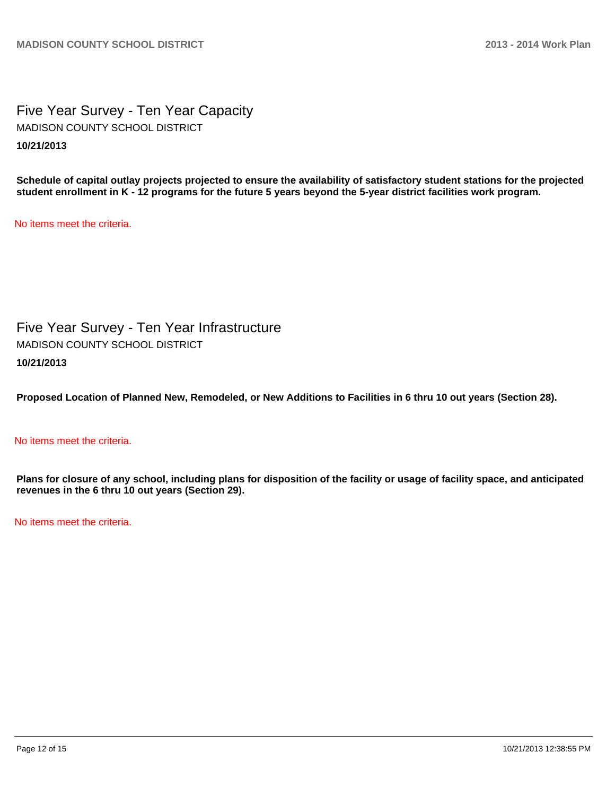Five Year Survey - Ten Year Capacity **10/21/2013** MADISON COUNTY SCHOOL DISTRICT

**Schedule of capital outlay projects projected to ensure the availability of satisfactory student stations for the projected student enrollment in K - 12 programs for the future 5 years beyond the 5-year district facilities work program.**

No items meet the criteria.

Five Year Survey - Ten Year Infrastructure **10/21/2013** MADISON COUNTY SCHOOL DISTRICT

**Proposed Location of Planned New, Remodeled, or New Additions to Facilities in 6 thru 10 out years (Section 28).**

No items meet the criteria.

**Plans for closure of any school, including plans for disposition of the facility or usage of facility space, and anticipated revenues in the 6 thru 10 out years (Section 29).**

No items meet the criteria.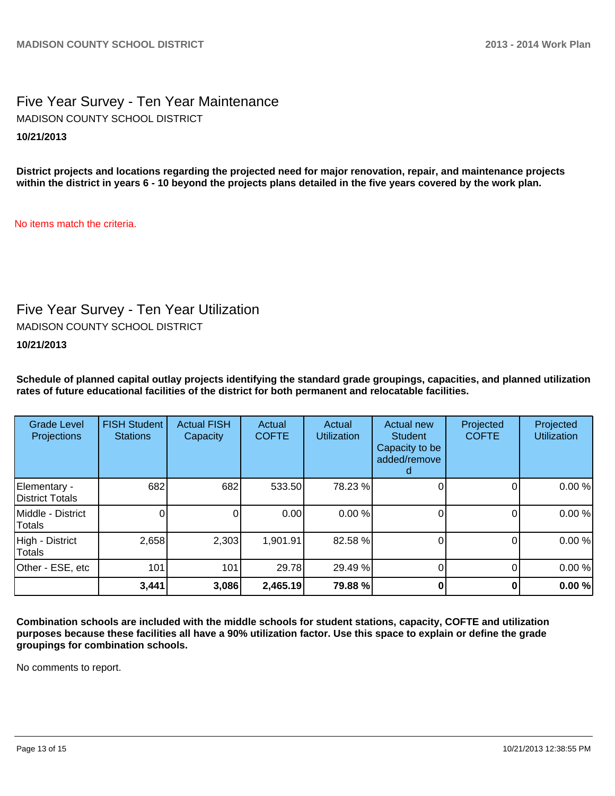### Five Year Survey - Ten Year Maintenance **10/21/2013** MADISON COUNTY SCHOOL DISTRICT

**District projects and locations regarding the projected need for major renovation, repair, and maintenance projects within the district in years 6 - 10 beyond the projects plans detailed in the five years covered by the work plan.**

No items match the criteria.

### Five Year Survey - Ten Year Utilization

MADISON COUNTY SCHOOL DISTRICT

**10/21/2013**

**Schedule of planned capital outlay projects identifying the standard grade groupings, capacities, and planned utilization rates of future educational facilities of the district for both permanent and relocatable facilities.**

| <b>Grade Level</b><br><b>Projections</b> | <b>FISH Student</b><br><b>Stations</b> | <b>Actual FISH</b><br>Capacity | Actual<br><b>COFTE</b> | Actual<br><b>Utilization</b> | Actual new<br><b>Student</b><br>Capacity to be<br>added/remove | Projected<br><b>COFTE</b> | Projected<br><b>Utilization</b> |
|------------------------------------------|----------------------------------------|--------------------------------|------------------------|------------------------------|----------------------------------------------------------------|---------------------------|---------------------------------|
| Elementary -<br>District Totals          | 682                                    | 682                            | 533.50                 | 78.23 %                      |                                                                | 0                         | 0.00%                           |
| Middle - District<br>Totals              |                                        |                                | 0.00                   | 0.00%                        |                                                                |                           | 0.00%                           |
| High - District<br>Totals                | 2,658                                  | 2,303                          | 1,901.91               | 82.58 %                      |                                                                | O                         | 0.00%                           |
| Other - ESE, etc                         | 101                                    | 101                            | 29.78                  | 29.49 %                      |                                                                | 0                         | 0.00%                           |
|                                          | 3,441                                  | 3,086                          | 2,465.19               | 79.88 %                      |                                                                |                           | 0.00%                           |

**Combination schools are included with the middle schools for student stations, capacity, COFTE and utilization purposes because these facilities all have a 90% utilization factor. Use this space to explain or define the grade groupings for combination schools.**

No comments to report.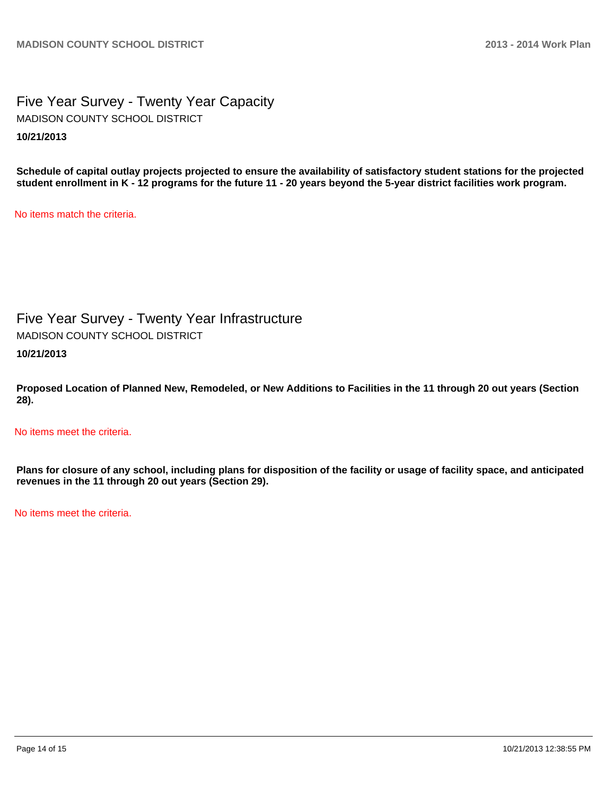### Five Year Survey - Twenty Year Capacity **10/21/2013** MADISON COUNTY SCHOOL DISTRICT

**Schedule of capital outlay projects projected to ensure the availability of satisfactory student stations for the projected student enrollment in K - 12 programs for the future 11 - 20 years beyond the 5-year district facilities work program.**

No items match the criteria.

Five Year Survey - Twenty Year Infrastructure MADISON COUNTY SCHOOL DISTRICT

**10/21/2013**

**Proposed Location of Planned New, Remodeled, or New Additions to Facilities in the 11 through 20 out years (Section 28).**

No items meet the criteria.

**Plans for closure of any school, including plans for disposition of the facility or usage of facility space, and anticipated revenues in the 11 through 20 out years (Section 29).**

No items meet the criteria.